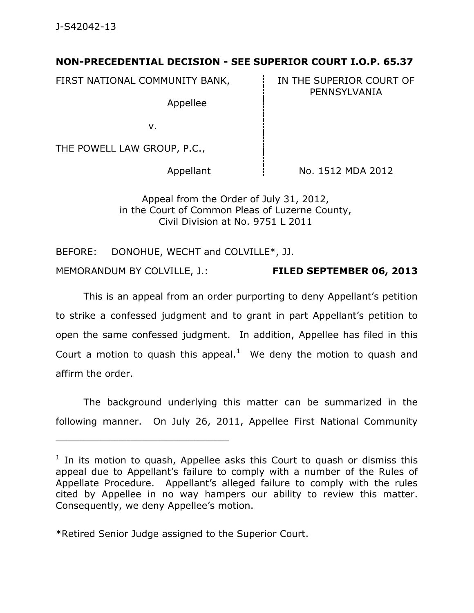## **NON-PRECEDENTIAL DECISION - SEE SUPERIOR COURT I.O.P. 65.37**

FIRST NATIONAL COMMUNITY BANK, FIRST NATIONAL COMMUNITY BANK,

Appellee

PENNSYLVANIA

v.

THE POWELL LAW GROUP, P.C.,

Appellant  $\qquad \qquad \vdots$  No. 1512 MDA 2012

Appeal from the Order of July 31, 2012, in the Court of Common Pleas of Luzerne County, Civil Division at No. 9751 L 2011

BEFORE: DONOHUE, WECHT and COLVILLE\*, JJ.

MEMORANDUM BY COLVILLE, J.: **FILED SEPTEMBER 06, 2013**

This is an appeal from an order purporting to deny Appellant's petition to strike a confessed judgment and to grant in part Appellant's petition to open the same confessed judgment. In addition, Appellee has filed in this Court a motion to quash this appeal. $<sup>1</sup>$  We deny the motion to quash and</sup> affirm the order.

The background underlying this matter can be summarized in the following manner. On July 26, 2011, Appellee First National Community

\*Retired Senior Judge assigned to the Superior Court.

\_\_\_\_\_\_\_\_\_\_\_\_\_\_\_\_\_\_\_\_\_\_\_\_\_\_\_\_\_\_\_\_\_\_\_\_\_\_\_\_\_\_\_\_

 $1$  In its motion to quash, Appellee asks this Court to quash or dismiss this appeal due to Appellant's failure to comply with a number of the Rules of Appellate Procedure. Appellant's alleged failure to comply with the rules cited by Appellee in no way hampers our ability to review this matter. Consequently, we deny Appellee's motion.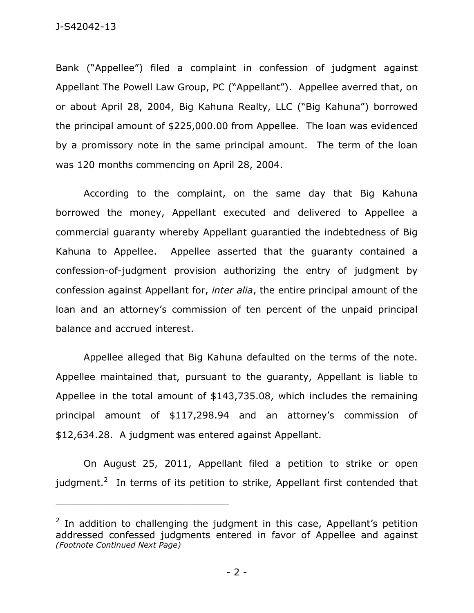Bank ("Appellee") filed a complaint in confession of judgment against Appellant The Powell Law Group, PC ("Appellant"). Appellee averred that, on or about April 28, 2004, Big Kahuna Realty, LLC ("Big Kahuna") borrowed the principal amount of \$225,000.00 from Appellee. The loan was evidenced by a promissory note in the same principal amount. The term of the loan was 120 months commencing on April 28, 2004.

According to the complaint, on the same day that Big Kahuna borrowed the money, Appellant executed and delivered to Appellee a commercial guaranty whereby Appellant guarantied the indebtedness of Big Kahuna to Appellee. Appellee asserted that the guaranty contained a confession-of-judgment provision authorizing the entry of judgment by confession against Appellant for, *inter alia*, the entire principal amount of the loan and an attorney's commission of ten percent of the unpaid principal balance and accrued interest.

Appellee alleged that Big Kahuna defaulted on the terms of the note. Appellee maintained that, pursuant to the guaranty, Appellant is liable to Appellee in the total amount of \$143,735.08, which includes the remaining principal amount of \$117,298.94 and an attorney's commission of \$12,634.28. A judgment was entered against Appellant.

On August 25, 2011, Appellant filed a petition to strike or open judgment.<sup>2</sup> In terms of its petition to strike, Appellant first contended that

\_\_\_\_\_\_\_\_\_\_\_\_\_\_\_\_\_\_\_\_\_\_\_\_\_\_\_\_\_\_\_\_\_\_\_\_\_\_\_\_\_\_\_\_

 $2$  In addition to challenging the judgment in this case, Appellant's petition addressed confessed judgments entered in favor of Appellee and against *(Footnote Continued Next Page)*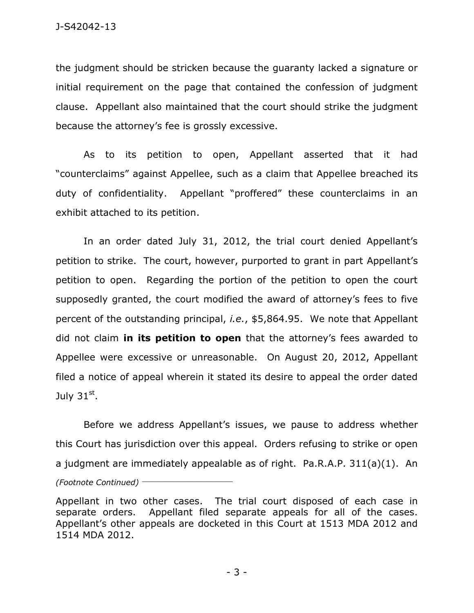the judgment should be stricken because the guaranty lacked a signature or initial requirement on the page that contained the confession of judgment clause. Appellant also maintained that the court should strike the judgment because the attorney's fee is grossly excessive.

As to its petition to open, Appellant asserted that it had "counterclaims" against Appellee, such as a claim that Appellee breached its duty of confidentiality. Appellant "proffered" these counterclaims in an exhibit attached to its petition.

In an order dated July 31, 2012, the trial court denied Appellant's petition to strike. The court, however, purported to grant in part Appellant's petition to open. Regarding the portion of the petition to open the court supposedly granted, the court modified the award of attorney's fees to five percent of the outstanding principal, *i.e.*, \$5,864.95. We note that Appellant did not claim **in its petition to open** that the attorney's fees awarded to Appellee were excessive or unreasonable. On August 20, 2012, Appellant filed a notice of appeal wherein it stated its desire to appeal the order dated July 3 $1^\text{st}$ .

Before we address Appellant's issues, we pause to address whether this Court has jurisdiction over this appeal. Orders refusing to strike or open a judgment are immediately appealable as of right. Pa.R.A.P. 311(a)(1). An *(Footnote Continued)* \_\_\_\_\_\_\_\_\_\_\_\_\_\_\_\_\_\_\_\_\_\_\_

Appellant in two other cases. The trial court disposed of each case in separate orders. Appellant filed separate appeals for all of the cases. Appellant's other appeals are docketed in this Court at 1513 MDA 2012 and 1514 MDA 2012.

- 3 -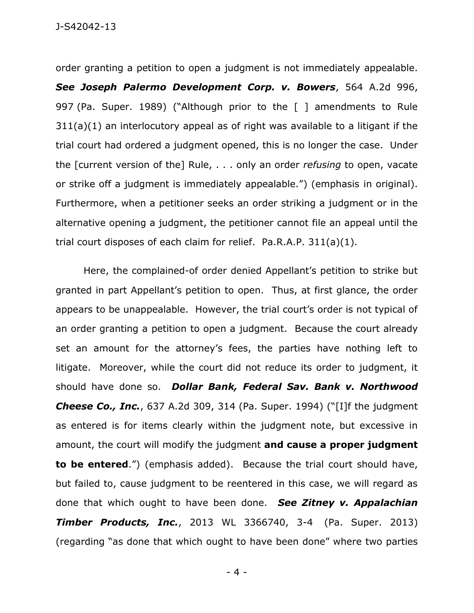order granting a petition to open a judgment is not immediately appealable. *See Joseph Palermo Development Corp. v. Bowers*, 564 A.2d 996, 997 (Pa. Super. 1989) ("Although prior to the [ ] amendments to Rule 311(a)(1) an interlocutory appeal as of right was available to a litigant if the trial court had ordered a judgment opened, this is no longer the case. Under the [current version of the] Rule, . . . only an order *refusing* to open, vacate or strike off a judgment is immediately appealable.") (emphasis in original). Furthermore, when a petitioner seeks an order striking a judgment or in the alternative opening a judgment, the petitioner cannot file an appeal until the trial court disposes of each claim for relief. Pa.R.A.P. 311(a)(1).

Here, the complained-of order denied Appellant's petition to strike but granted in part Appellant's petition to open. Thus, at first glance, the order appears to be unappealable. However, the trial court's order is not typical of an order granting a petition to open a judgment. Because the court already set an amount for the attorney's fees, the parties have nothing left to litigate. Moreover, while the court did not reduce its order to judgment, it should have done so. *Dollar Bank, Federal Sav. Bank v. Northwood Cheese Co., Inc.*, 637 A.2d 309, 314 (Pa. Super. 1994) ("[I]f the judgment as entered is for items clearly within the judgment note, but excessive in amount, the court will modify the judgment **and cause a proper judgment to be entered**.") (emphasis added). Because the trial court should have, but failed to, cause judgment to be reentered in this case, we will regard as done that which ought to have been done. *See Zitney v. Appalachian Timber Products, Inc.*, 2013 WL 3366740, 3-4 (Pa. Super. 2013) (regarding "as done that which ought to have been done" where two parties

- 4 -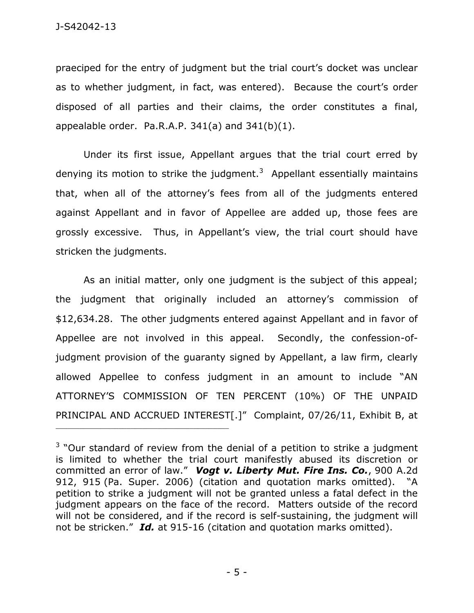praeciped for the entry of judgment but the trial court's docket was unclear as to whether judgment, in fact, was entered). Because the court's order disposed of all parties and their claims, the order constitutes a final, appealable order. Pa.R.A.P.  $341(a)$  and  $341(b)(1)$ .

Under its first issue, Appellant argues that the trial court erred by denying its motion to strike the judgment.<sup>3</sup> Appellant essentially maintains that, when all of the attorney's fees from all of the judgments entered against Appellant and in favor of Appellee are added up, those fees are grossly excessive. Thus, in Appellant's view, the trial court should have stricken the judgments.

As an initial matter, only one judgment is the subject of this appeal; the judgment that originally included an attorney's commission of \$12,634.28. The other judgments entered against Appellant and in favor of Appellee are not involved in this appeal. Secondly, the confession-ofjudgment provision of the guaranty signed by Appellant, a law firm, clearly allowed Appellee to confess judgment in an amount to include "AN ATTORNEY'S COMMISSION OF TEN PERCENT (10%) OF THE UNPAID PRINCIPAL AND ACCRUED INTEREST[.]" Complaint, 07/26/11, Exhibit B, at

 $3$  "Our standard of review from the denial of a petition to strike a judgment is limited to whether the trial court manifestly abused its discretion or committed an error of law." *Vogt v. Liberty Mut. Fire Ins. Co.*, 900 A.2d 912, 915 (Pa. Super. 2006) (citation and quotation marks omitted). "A petition to strike a judgment will not be granted unless a fatal defect in the judgment appears on the face of the record. Matters outside of the record will not be considered, and if the record is self-sustaining, the judgment will not be stricken." *Id.* at 915-16 (citation and quotation marks omitted).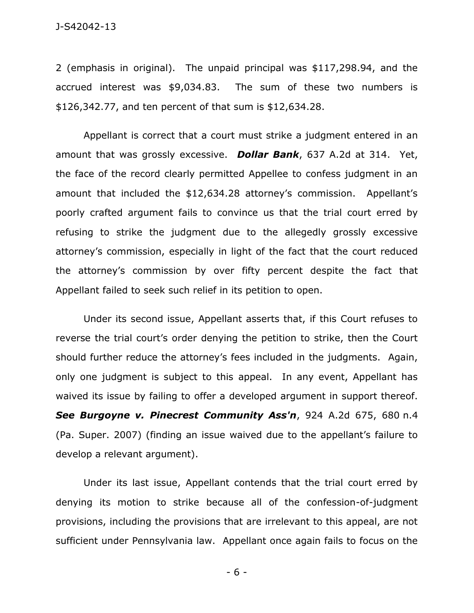2 (emphasis in original). The unpaid principal was \$117,298.94, and the accrued interest was \$9,034.83. The sum of these two numbers is \$126,342.77, and ten percent of that sum is \$12,634.28.

Appellant is correct that a court must strike a judgment entered in an amount that was grossly excessive. *Dollar Bank*, 637 A.2d at 314. Yet, the face of the record clearly permitted Appellee to confess judgment in an amount that included the \$12,634.28 attorney's commission. Appellant's poorly crafted argument fails to convince us that the trial court erred by refusing to strike the judgment due to the allegedly grossly excessive attorney's commission, especially in light of the fact that the court reduced the attorney's commission by over fifty percent despite the fact that Appellant failed to seek such relief in its petition to open.

Under its second issue, Appellant asserts that, if this Court refuses to reverse the trial court's order denying the petition to strike, then the Court should further reduce the attorney's fees included in the judgments. Again, only one judgment is subject to this appeal. In any event, Appellant has waived its issue by failing to offer a developed argument in support thereof. *See Burgoyne v. Pinecrest Community Ass'n*, 924 A.2d 675, 680 n.4 (Pa. Super. 2007) (finding an issue waived due to the appellant's failure to develop a relevant argument).

Under its last issue, Appellant contends that the trial court erred by denying its motion to strike because all of the confession-of-judgment provisions, including the provisions that are irrelevant to this appeal, are not sufficient under Pennsylvania law. Appellant once again fails to focus on the

- 6 -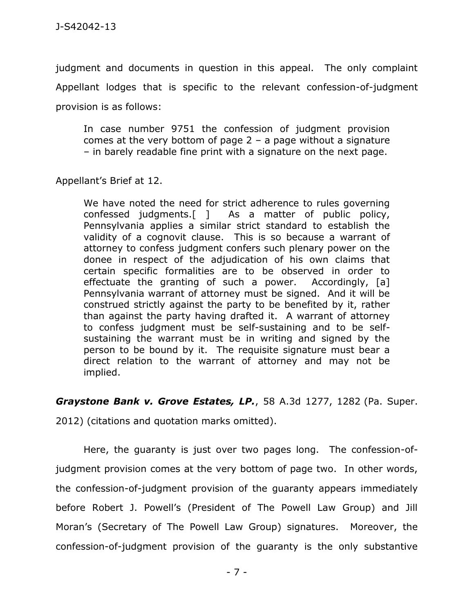judgment and documents in question in this appeal. The only complaint Appellant lodges that is specific to the relevant confession-of-judgment provision is as follows:

In case number 9751 the confession of judgment provision comes at the very bottom of page  $2 - a$  page without a signature – in barely readable fine print with a signature on the next page.

Appellant's Brief at 12.

We have noted the need for strict adherence to rules governing confessed judgments.[ ] As a matter of public policy, Pennsylvania applies a similar strict standard to establish the validity of a cognovit clause. This is so because a warrant of attorney to confess judgment confers such plenary power on the donee in respect of the adjudication of his own claims that certain specific formalities are to be observed in order to effectuate the granting of such a power. Accordingly, [a] Pennsylvania warrant of attorney must be signed. And it will be construed strictly against the party to be benefited by it, rather than against the party having drafted it. A warrant of attorney to confess judgment must be self-sustaining and to be selfsustaining the warrant must be in writing and signed by the person to be bound by it. The requisite signature must bear a direct relation to the warrant of attorney and may not be implied.

## *Graystone Bank v. Grove Estates, LP.*, 58 A.3d 1277, 1282 (Pa. Super.

2012) (citations and quotation marks omitted).

Here, the guaranty is just over two pages long. The confession-ofjudgment provision comes at the very bottom of page two. In other words, the confession-of-judgment provision of the guaranty appears immediately before Robert J. Powell's (President of The Powell Law Group) and Jill Moran's (Secretary of The Powell Law Group) signatures. Moreover, the confession-of-judgment provision of the guaranty is the only substantive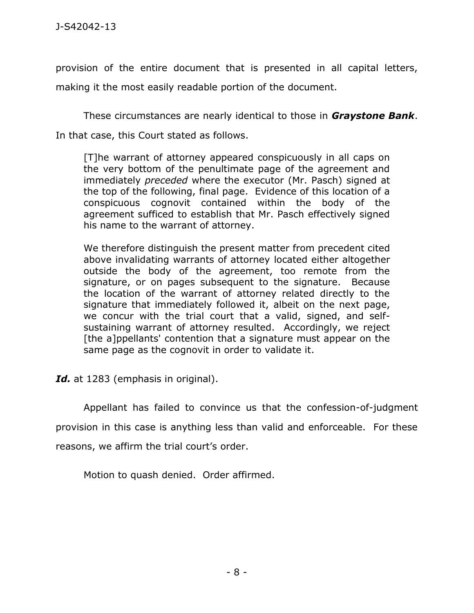provision of the entire document that is presented in all capital letters, making it the most easily readable portion of the document.

These circumstances are nearly identical to those in *Graystone Bank*.

In that case, this Court stated as follows.

[T]he warrant of attorney appeared conspicuously in all caps on the very bottom of the penultimate page of the agreement and immediately *preceded* where the executor (Mr. Pasch) signed at the top of the following, final page. Evidence of this location of a conspicuous cognovit contained within the body of the agreement sufficed to establish that Mr. Pasch effectively signed his name to the warrant of attorney.

We therefore distinguish the present matter from precedent cited above invalidating warrants of attorney located either altogether outside the body of the agreement, too remote from the signature, or on pages subsequent to the signature. Because the location of the warrant of attorney related directly to the signature that immediately followed it, albeit on the next page, we concur with the trial court that a valid, signed, and selfsustaining warrant of attorney resulted. Accordingly, we reject [the a]ppellants' contention that a signature must appear on the same page as the cognovit in order to validate it.

Id. at 1283 (emphasis in original).

Appellant has failed to convince us that the confession-of-judgment provision in this case is anything less than valid and enforceable. For these reasons, we affirm the trial court's order.

Motion to quash denied. Order affirmed.